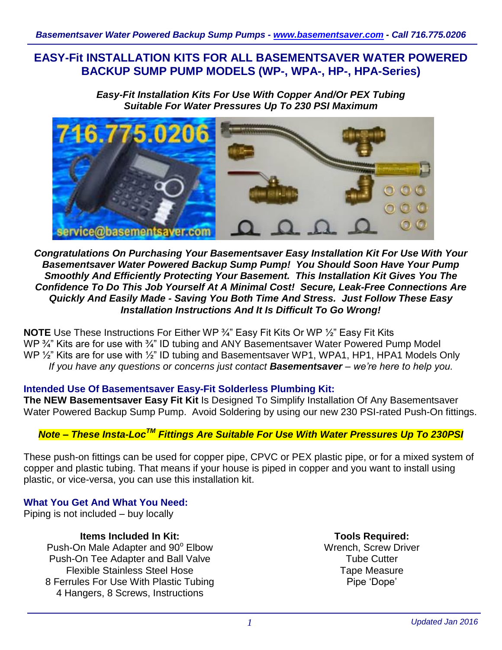## **EASY-Fit INSTALLATION KITS FOR ALL BASEMENTSAVER WATER POWERED BACKUP SUMP PUMP MODELS (WP-, WPA-, HP-, HPA-Series)**

*Easy-Fit Installation Kits For Use With Copper And/Or PEX Tubing Suitable For Water Pressures Up To 230 PSI Maximum*



### *Congratulations On Purchasing Your Basementsaver Easy Installation Kit For Use With Your Basementsaver Water Powered Backup Sump Pump! You Should Soon Have Your Pump Smoothly And Efficiently Protecting Your Basement. This Installation Kit Gives You The Confidence To Do This Job Yourself At A Minimal Cost! Secure, Leak-Free Connections Are Quickly And Easily Made - Saving You Both Time And Stress. Just Follow These Easy Installation Instructions And It Is Difficult To Go Wrong!*

**NOTE** Use These Instructions For Either WP ¾" Easy Fit Kits Or WP ½" Easy Fit Kits WP <sup>3</sup>/<sub>4</sub>" Kits are for use with <sup>3/4</sup> ID tubing and ANY Basementsaver Water Powered Pump Model WP 1/2" Kits are for use with 1/2" ID tubing and Basementsaver WP1, WPA1, HP1, HPA1 Models Only *If you have any questions or concerns just contact Basementsaver – we're here to help you.*

#### **Intended Use Of Basementsaver Easy-Fit Solderless Plumbing Kit:**

**The NEW Basementsaver Easy Fit Kit** Is Designed To Simplify Installation Of Any Basementsaver Water Powered Backup Sump Pump. Avoid Soldering by using our new 230 PSI-rated Push-On fittings.

# *Note – These Insta-LocTM Fittings Are Suitable For Use With Water Pressures Up To 230PSI*

These push-on fittings can be used for copper pipe, CPVC or PEX plastic pipe, or for a mixed system of copper and plastic tubing. That means if your house is piped in copper and you want to install using plastic, or vice-versa, you can use this installation kit.

### **What You Get And What You Need:**

Piping is not included – buy locally

**Items Included In Kit:**

Push-On Male Adapter and 90° Elbow Push-On Tee Adapter and Ball Valve Flexible Stainless Steel Hose 8 Ferrules For Use With Plastic Tubing 4 Hangers, 8 Screws, Instructions

**Tools Required:** Wrench, Screw Driver Tube Cutter Tape Measure Pipe 'Dope'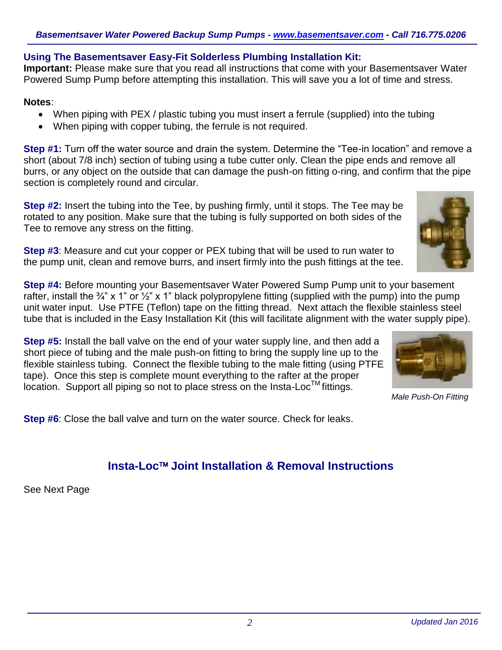### **Using The Basementsaver Easy-Fit Solderless Plumbing Installation Kit:**

**Important:** Please make sure that you read all instructions that come with your Basementsaver Water Powered Sump Pump before attempting this installation. This will save you a lot of time and stress.

#### **Notes**:

- When piping with PEX / plastic tubing you must insert a ferrule (supplied) into the tubing
- When piping with copper tubing, the ferrule is not required.

**Step #1:** Turn off the water source and drain the system. Determine the "Tee-in location" and remove a short (about 7/8 inch) section of tubing using a tube cutter only. Clean the pipe ends and remove all burrs, or any object on the outside that can damage the push-on fitting o-ring, and confirm that the pipe section is completely round and circular.

**Step #2:** Insert the tubing into the Tee, by pushing firmly, until it stops. The Tee may be rotated to any position. Make sure that the tubing is fully supported on both sides of the Tee to remove any stress on the fitting.

**Step #3**: Measure and cut your copper or PEX tubing that will be used to run water to the pump unit, clean and remove burrs, and insert firmly into the push fittings at the tee.

**Step #4:** Before mounting your Basementsaver Water Powered Sump Pump unit to your basement rafter, install the  $\frac{3}{4}$ " x 1" or  $\frac{1}{2}$ " x 1" black polypropylene fitting (supplied with the pump) into the pump unit water input. Use PTFE (Teflon) tape on the fitting thread. Next attach the flexible stainless steel tube that is included in the Easy Installation Kit (this will facilitate alignment with the water supply pipe).

**Step #5:** Install the ball valve on the end of your water supply line, and then add a short piece of tubing and the male push-on fitting to bring the supply line up to the flexible stainless tubing. Connect the flexible tubing to the male fitting (using PTFE tape). Once this step is complete mount everything to the rafter at the proper  $\mu$  begins the complete the mean every many terms can be  $\mu$  fittings.



*Male Push-On Fitting*

**Step #6**: Close the ball valve and turn on the water source. Check for leaks.

# **Insta-Loc Joint Installation & Removal Instructions**

See Next Page